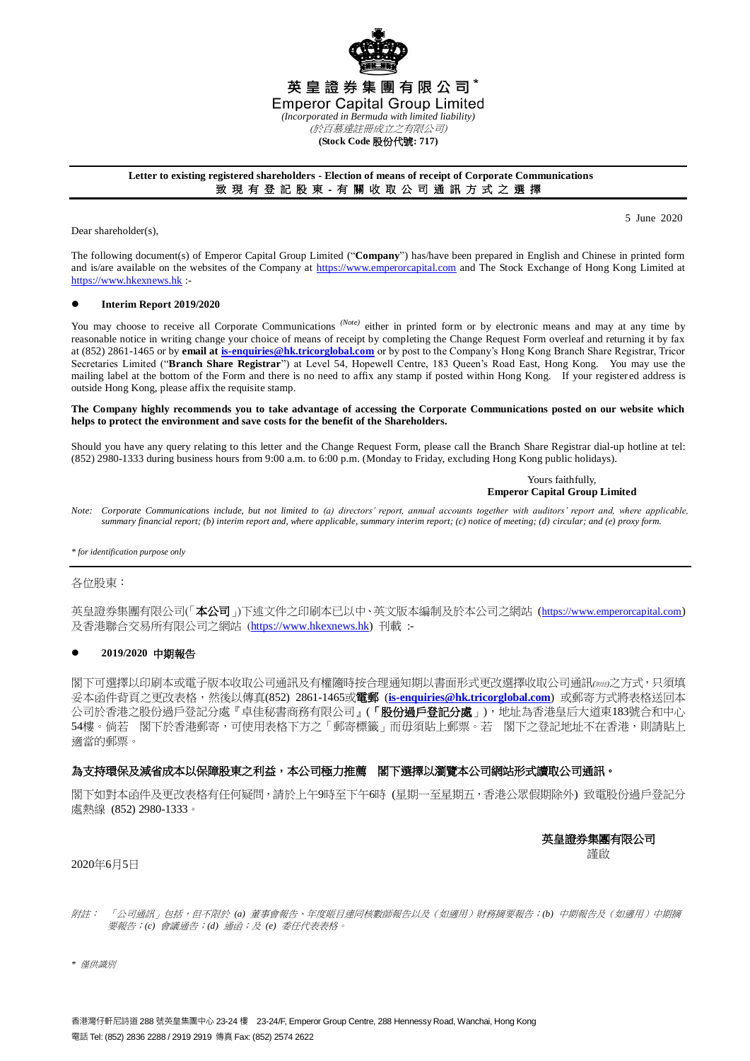

### **Letter to existing registered shareholders - Election of means of receipt of Corporate Communications** 致 現 有 登 記 股 東 - 有 關 收 取 公 司 通 訊 方 式 之 選 擇

Dear shareholder(s),

5 June 2020

The following document(s) of Emperor Capital Group Limited ("**Company**") has/have been prepared in English and Chinese in printed form and is/are available on the websites of the Company at [https://www.emperorcapital.com](https://www.emperorcapital.com/) and The Stock Exchange of Hong Kong Limited at [https://www.hkexnews.hk](https://www.hkexnews.hk/) :-

### **Interim Report 2019/2020**

You may choose to receive all Corporate Communications <sup>(Note)</sup> either in printed form or by electronic means and may at any time by reasonable notice in writing change your choice of means of receipt by completing the Change Request Form overleaf and returning it by fax at (852) 2861-1465 or by **email a[t is-enquiries@hk.tricorglobal.com](mailto:is-enquiries@hk.tricorglobal.com)** or by post to the Company's Hong Kong Branch Share Registrar, Tricor Secretaries Limited ("**Branch Share Registrar**") at Level 54, Hopewell Centre, 183 Queen's Road East, Hong Kong. You may use the mailing label at the bottom of the Form and there is no need to affix any stamp if posted within Hong Kong. If your register ed address is outside Hong Kong, please affix the requisite stamp.

#### **The Company highly recommends you to take advantage of accessing the Corporate Communications posted on our website which helps to protect the environment and save costs for the benefit of the Shareholders.**

Should you have any query relating to this letter and the Change Request Form, please call the Branch Share Registrar dial-up hotline at tel: (852) 2980-1333 during business hours from 9:00 a.m. to 6:00 p.m. (Monday to Friday, excluding Hong Kong public holidays).

> Yours faithfully, **Emperor Capital Group Limited**

*Note: Corporate Communications include, but not limited to (a) directors' report, annual accounts together with auditors' report and, where applicable, summary financial report; (b) interim report and, where applicable, summary interim report; (c) notice of meeting; (d) circular; and (e) proxy form.*

*\* for identification purpose only*

### 各位股東:

英皇證券集團有限公司(「本公司」)下述文件之印刷本已以中、英文版本編制及於本公司之網站 (https://www.emperorcapital.com) 及香港聯合交易所有限公司之網站 ([https://www.hkexnews.hk\)](https://www.hkexnews.hk/) 刊載 :-

### **2019/2020** 中期報告

閣下可選擇以印刷本或電子版本收取公司通訊及有權隨時按合理通知期以書面形式更改選擇收取公司通訊*(*附註*)*之方式,只須填 妥本函件背頁之更改表格,然後以傳真(852) 2861-1465或電郵 (**[is-enquiries@hk.tricorglobal.com](mailto:is-enquiries@hk.tricorglobal.com)**) 或郵寄方式將表格送回本 公司於香港之股份過戶登記分處『卓佳秘書商務有限公司』(「股份過戶登記分處」),地址為香港皇后大道東183號合和中心 54樓。倘若 閣下於香港郵寄,可使用表格下方之「郵寄標籤」而毋須貼上郵票。若 閣下之登記地址不在香港,則請貼上 適當的郵票。

### 為支持環保及減省成本以保障股東之利益,本公司極力推薦 閣下選擇以瀏覽本公司網站形式讀取公司通訊。

閣下如對本函件及更改表格有任何疑問,請於上午9時至下午6時 (星期一至星期五,香港公眾假期除外) 致電股份過戶登記分 處熱線 (852) 2980-1333。

英皇證券集團有限公司

謹啟

### 2020年6月5日

附註: 「公司通訊」包括,但不限於 *(a)* 董事會報告、年度賬目連同核數師報告以及(如適用)財務摘要報告;*(b)* 中期報告及(如適用)中期摘 要報告;*(c)* 會議通告;*(d)* 通函;及 *(e)* 委任代表表格。

*\** 僅供識別